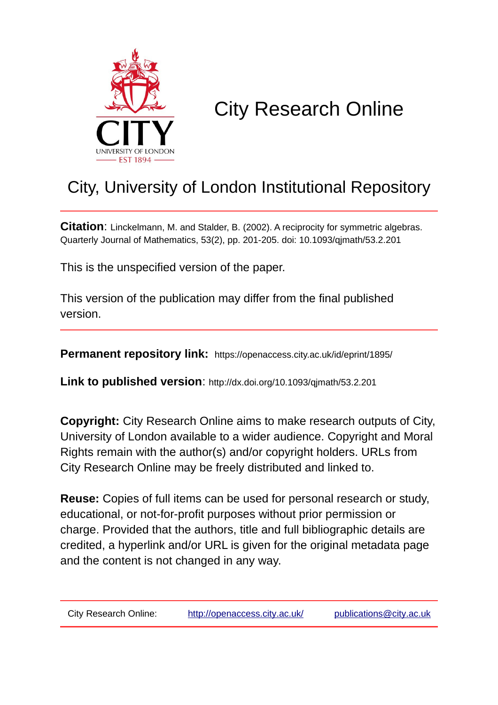

# City Research Online

# City, University of London Institutional Repository

**Citation**: Linckelmann, M. and Stalder, B. (2002). A reciprocity for symmetric algebras. Quarterly Journal of Mathematics, 53(2), pp. 201-205. doi: 10.1093/qjmath/53.2.201

This is the unspecified version of the paper.

This version of the publication may differ from the final published version.

**Permanent repository link:** https://openaccess.city.ac.uk/id/eprint/1895/

**Link to published version**: http://dx.doi.org/10.1093/qjmath/53.2.201

**Copyright:** City Research Online aims to make research outputs of City, University of London available to a wider audience. Copyright and Moral Rights remain with the author(s) and/or copyright holders. URLs from City Research Online may be freely distributed and linked to.

**Reuse:** Copies of full items can be used for personal research or study, educational, or not-for-profit purposes without prior permission or charge. Provided that the authors, title and full bibliographic details are credited, a hyperlink and/or URL is given for the original metadata page and the content is not changed in any way.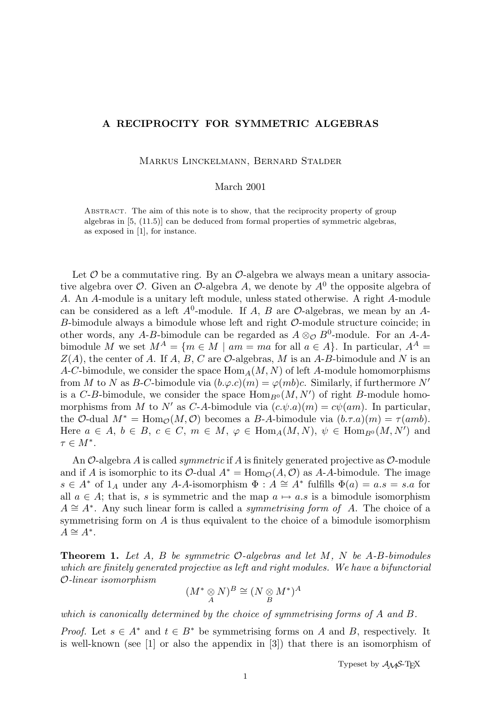## A RECIPROCITY FOR SYMMETRIC ALGEBRAS

Markus Linckelmann, Bernard Stalder

### March 2001

Abstract. The aim of this note is to show, that the reciprocity property of group algebras in [5, (11.5)] can be deduced from formal properties of symmetric algebras, as exposed in [1], for instance.

Let  $\mathcal O$  be a commutative ring. By an  $\mathcal O$ -algebra we always mean a unitary associative algebra over  $\mathcal{O}$ . Given an  $\mathcal{O}$ -algebra A, we denote by  $A^0$  the opposite algebra of A. An A-module is a unitary left module, unless stated otherwise. A right A-module can be considered as a left  $A^0$ -module. If A, B are  $\mathcal O$ -algebras, we mean by an A-B-bimodule always a bimodule whose left and right  $\mathcal{O}$ -module structure coincide; in other words, any A-B-bimodule can be regarded as  $A \otimes_{\mathcal{O}} B^0$ -module. For an A-Abimodule M we set  $M^A = \{m \in M \mid am = ma$  for all  $a \in A\}$ . In particular,  $A^A =$  $Z(A)$ , the center of A. If A, B, C are O-algebras, M is an A-B-bimodule and N is an A-C-bimodule, we consider the space  $\text{Hom}_A(M, N)$  of left A-module homomorphisms from M to N as B-C-bimodule via  $(b.\varphi.c)(m) = \varphi(mb)c$ . Similarly, if furthermore N' is a C-B-bimodule, we consider the space  $\text{Hom}_{B^0}(M, N')$  of right B-module homomorphisms from M to N' as C-A-bimodule via  $(c.\psi.a)(m) = c\psi(am)$ . In particular, the O-dual  $M^* = \text{Hom}_{\mathcal{O}}(M, \mathcal{O})$  becomes a B-A-bimodule via  $(b.\tau.a)(m) = \tau(amb)$ . Here  $a \in A, b \in B, c \in C, m \in M, \varphi \in \text{Hom}_A(M, N), \psi \in \text{Hom}_{B^0}(M, N')$  and  $\tau \in M^*$ .

An  $\mathcal O$ -algebra A is called *symmetric* if A is finitely generated projective as  $\mathcal O$ -module and if A is isomorphic to its  $\mathcal{O}\text{-}$ dual  $A^* = \text{Hom}_{\mathcal{O}}(A, \mathcal{O})$  as A-A-bimodule. The image  $s \in A^*$  of  $1_A$  under any A-A-isomorphism  $\Phi : A \cong A^*$  fulfills  $\Phi(a) = a.s = s.a$  for all  $a \in A$ ; that is, s is symmetric and the map  $a \mapsto a.s$  is a bimodule isomorphism  $A \cong A^*$ . Any such linear form is called a *symmetrising form of A*. The choice of a symmetrising form on A is thus equivalent to the choice of a bimodule isomorphism  $A \cong A^*$ .

**Theorem 1.** Let A, B be symmetric  $O$ -algebras and let M, N be A-B-bimodules which are finitely generated projective as left and right modules. We have a bifunctorial O-linear isomorphism

$$
(M^* \underset{A}{\otimes} N)^B \cong (N \underset{B}{\otimes} M^*)^A
$$

which is canonically determined by the choice of symmetrising forms of A and B.

*Proof.* Let  $s \in A^*$  and  $t \in B^*$  be symmetrising forms on A and B, respectively. It is well-known (see [1] or also the appendix in [3]) that there is an isomorphism of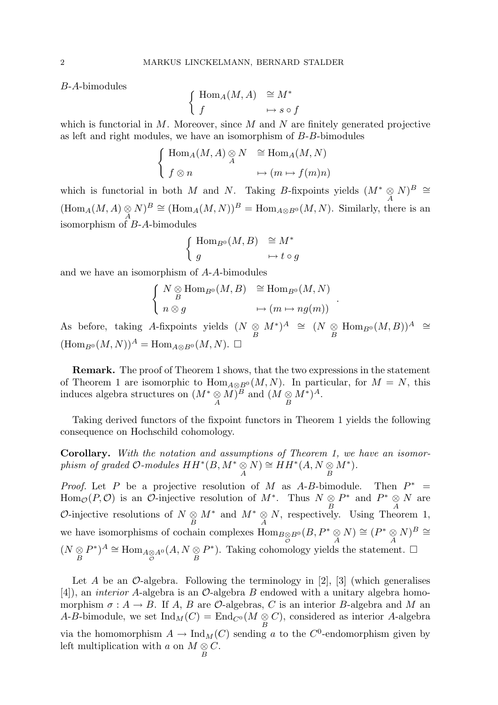B-A-bimodules

$$
\left\{ \begin{array}{ll} \mathrm{Hom}_{A}(M,A) & \cong M^{*} \\ f & \mapsto s \circ f \end{array} \right.
$$

which is functorial in M. Moreover, since M and N are finitely generated projective as left and right modules, we have an isomorphism of B-B-bimodules

$$
\begin{cases} \text{Hom}_A(M, A) \underset{A}{\otimes} N & \cong \text{Hom}_A(M, N) \\ f \otimes n & \mapsto (m \mapsto f(m)n) \end{cases}
$$

which is functorial in both M and N. Taking B-fixpoints yields  $(M^* \underset{A}{\otimes} N)^B \cong$  $(\text{Hom}_A(M, A) \underset{A}{\otimes} N)^B \cong (\text{Hom}_A(M, N))^B = \text{Hom}_{A \otimes B^0}(M, N)$ . Similarly, there is an isomorphism of B-A-bimodules

$$
\begin{cases} \text{Hom}_{B^0}(M, B) & \cong M^* \\ g & \mapsto t \circ g \end{cases}
$$

and we have an isomorphism of A-A-bimodules

$$
\begin{cases} N \underset{B}{\otimes} \text{Hom}_{B^0}(M, B) & \cong \text{Hom}_{B^0}(M, N) \\ n \otimes g & \mapsto (m \mapsto ng(m)) \end{cases}
$$

.

As before, taking A-fixpoints yields  $(N \underset{B}{\otimes} M^*)^A \cong (N \underset{B}{\otimes} \text{Hom}_{B^0}(M, B))^A \cong$  $(\text{Hom}_{B^0}(M, N))^A = \text{Hom}_{A \otimes B^0}(M, N)$ .

Remark. The proof of Theorem 1 shows, that the two expressions in the statement of Theorem 1 are isomorphic to  $\text{Hom}_{A\otimes B^0}(M, N)$ . In particular, for  $M = N$ , this induces algebra structures on  $(M^* \underset{A}{\otimes} M)^B$  and  $(M \underset{B}{\otimes} M^*)^A$ .

Taking derived functors of the fixpoint functors in Theorem 1 yields the following consequence on Hochschild cohomology.

Corollary. With the notation and assumptions of Theorem 1, we have an isomorphism of graded  $\mathcal{O}\text{-modules }\,HH^*(B,M^*\underset{A}{\otimes}N)\cong HH^*(A,N\underset{B}{\otimes}N)$  $M^*$ ).

*Proof.* Let  $P$  be a projective resolution of  $M$  as  $A-B$ -bimodule. Then  $P^*$  =  $\text{Hom}_{\mathcal{O}}(P,\mathcal{O})$  is an  $\mathcal{O}\text{-}\text{injective resolution of }M^*$ . Thus  $N \underset{B}{\otimes}$  $P^*$  and  $P^* \underset{A}{\otimes} N$  are  $\mathcal{O}\text{-}\text{injective}$  resolutions of  $N \underset{B}{\otimes} M^*$  and  $M^* \underset{A}{\otimes} N$ , respectively. Using Theorem 1, we have isomorphisms of cochain complexes  $\text{Hom}_{B\underset{\mathcal{O}}{\otimes}B^{0}}(B, P^{*}\underset{A}{\otimes} N) \cong (P^{*}\underset{A}{\otimes} N)^{B} \cong$  $\bigl( \begin{smallmatrix} N & \otimes \ & \mathcal{B} \ & \mathcal{B} \end{smallmatrix} \bigr)$  $(P^*)^A \cong \text{Hom}_{A \underset{\mathcal{O}}{\otimes} A^0}(A, N \underset{B}{\otimes}$  $P^*$ ). Taking cohomology yields the statement.  $\square$ 

Let A be an  $\mathcal{O}\text{-algebra}$ . Following the terminology in [2], [3] (which generalises [4]), an interior A-algebra is an O-algebra B endowed with a unitary algebra homomorphism  $\sigma : A \to B$ . If A, B are O-algebras, C is an interior B-algebra and M an A-B-bimodule, we set  $\text{Ind}_M(C) = \text{End}_{C^0}(M \underset{B}{\otimes} C)$ , considered as interior A-algebra via the homomorphism  $A \to \text{Ind}_M(C)$  sending a to the  $C^0$ -endomorphism given by left multiplication with a on  $M \underset{B}{\otimes} C$ .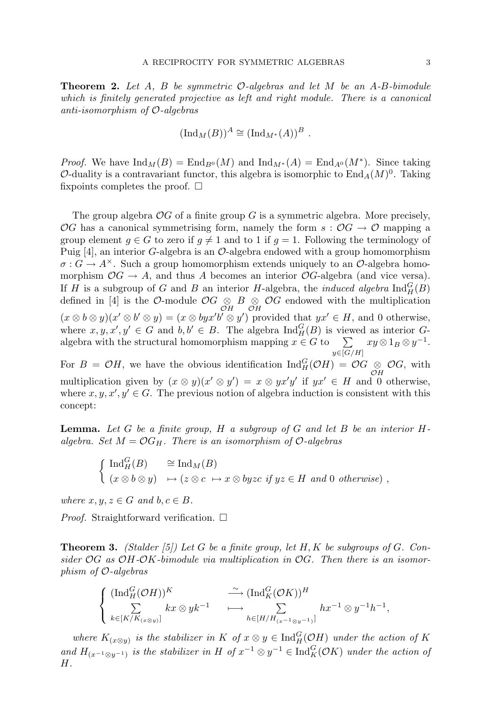**Theorem 2.** Let A, B be symmetric  $\mathcal{O}$ -algebras and let M be an A-B-bimodule which is finitely generated projective as left and right module. There is a canonical anti-isomorphism of O-algebras

$$
(\mathrm{Ind}_M(B))^A \cong (\mathrm{Ind}_{M^*}(A))^B.
$$

*Proof.* We have  $\text{Ind}_M(B) = \text{End}_{B^0}(M)$  and  $\text{Ind}_{M^*}(A) = \text{End}_{A^0}(M^*)$ . Since taking O-duality is a contravariant functor, this algebra is isomorphic to  $\text{End}_A(M)^0$ . Taking fixpoints completes the proof.  $\square$ 

The group algebra  $\mathcal{O}G$  of a finite group G is a symmetric algebra. More precisely, OG has a canonical symmetrising form, namely the form  $s : \mathcal{O}G \to \mathcal{O}$  mapping a group element  $q \in G$  to zero if  $q \neq 1$  and to 1 if  $q = 1$ . Following the terminology of Puig  $[4]$ , an interior G-algebra is an O-algebra endowed with a group homomorphism  $\sigma: G \to A^{\times}$ . Such a group homomorphism extends uniquely to an  $\mathcal{O}$ -algebra homomorphism  $\mathcal{O}G \to A$ , and thus A becomes an interior  $\mathcal{O}G$ -algebra (and vice versa). If H is a subgroup of G and B an interior H-algebra, the *induced algebra*  $\text{Ind}_{H}^{G}(B)$ defined in [4] is the O-module  $\mathcal{O}G \underset{\mathcal{O}H}{\otimes} B \underset{\mathcal{O}H}{\otimes} \mathcal{O}G$  endowed with the multiplication  $(x \otimes b \otimes y)(x' \otimes b' \otimes y) = (x \otimes byx'b' \otimes y')$  provided that  $yx' \in H$ , and 0 otherwise, where  $x, y, x', y' \in G$  and  $b, b' \in B$ . The algebra  $\text{Ind}_{H}^{G}(B)$  is viewed as interior  $G$ algebra with the structural homomorphism mapping  $x \in G$  to  $\sum$  $y\in[G/H]$  $xy \otimes 1_B \otimes y^{-1}.$ For  $B = \mathcal{O}H$ , we have the obvious identification  $\text{Ind}_{H}^{G}(\mathcal{O}H) = \mathcal{O}G \underset{\mathcal{O}H}{\otimes} \mathcal{O}G$ , with multiplication given by  $(x \otimes y)(x' \otimes y') = x \otimes y'x'y'$  if  $yx' \in H$  and 0 otherwise, where  $x, y, x', y' \in G$ . The previous notion of algebra induction is consistent with this

**Lemma.** Let  $G$  be a finite group,  $H$  a subgroup of  $G$  and let  $B$  be an interior  $H$ algebra. Set  $M = \mathcal{O}G_H$ . There is an isomorphism of  $\mathcal{O}$ -algebras

$$
\begin{cases} \operatorname{Ind}_{H}^{G}(B) & \cong \operatorname{Ind}_{M}(B) \\ (x \otimes b \otimes y) & \mapsto (z \otimes c \mapsto x \otimes byzc \text{ if } yz \in H \text{ and } 0 \text{ otherwise}) \end{cases}
$$

where  $x, y, z \in G$  and  $b, c \in B$ .

concept:

*Proof.* Straightforward verification.  $\Box$ 

**Theorem 3.** (Stalder [5]) Let G be a finite group, let  $H, K$  be subgroups of G. Consider  $\mathcal{O}G$  as  $\mathcal{O}H\text{-}\mathcal{O}K\text{-bimodule }$  via multiplication in  $\mathcal{O}G$ . Then there is an isomorphism of O-algebras

$$
\left\{\begin{array}{ll}\n(\operatorname{Ind}_{H}^{G}(\mathcal{O}H))^{K} & \stackrel{\sim}{\longrightarrow} (\operatorname{Ind}_{K}^{G}(\mathcal{O}K))^{H} \\
\sum_{k\in [K/K_{(x\otimes y)}]} kx\otimes yk^{-1} & \longmapsto \sum_{h\in [H/H_{(x^{-1}\otimes y^{-1})}]} hx^{-1}\otimes y^{-1}h^{-1},\n\end{array}\right.
$$

where  $K_{(x\otimes y)}$  is the stabilizer in K of  $x\otimes y \in \text{Ind}_{H}^{G}(\mathcal{O}H)$  under the action of K and  $H_{(x^{-1}\otimes y^{-1})}$  is the stabilizer in H of  $x^{-1}\otimes y^{-1} \in \text{Ind}_{K}^{G}(\mathcal{O}K)$  under the action of H.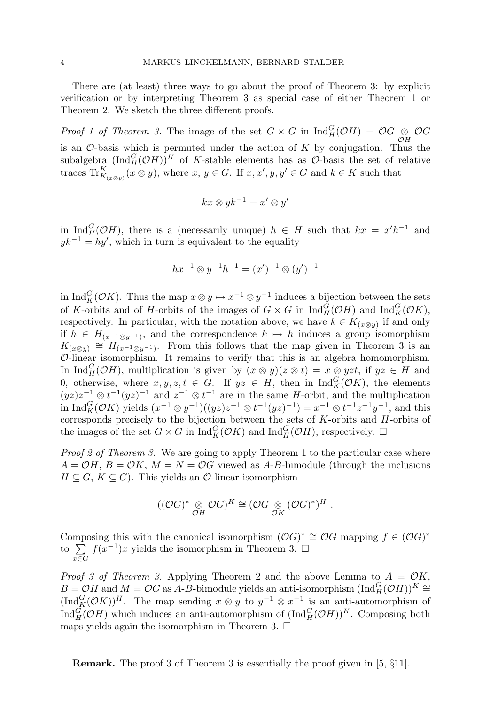There are (at least) three ways to go about the proof of Theorem 3: by explicit verification or by interpreting Theorem 3 as special case of either Theorem 1 or Theorem 2. We sketch the three different proofs.

*Proof 1 of Theorem 3.* The image of the set  $G \times G$  in  $\text{Ind}_{H}^{G}(\mathcal{O}H) = \mathcal{O}G \underset{\mathcal{O}H}{\otimes} \mathcal{O}G$ is an  $\mathcal{O}$ -basis which is permuted under the action of K by conjugation. Thus the subalgebra  $(\text{Ind}_{H}^{G}(\mathcal{O}H))^{K}$  of K-stable elements has as  $\mathcal{O}$ -basis the set of relative traces  $\operatorname{Tr}^K_{K_{(x\otimes y)}}(x\otimes y)$ , where  $x, y \in G$ . If  $x, x', y, y' \in G$  and  $k \in K$  such that

$$
kx\otimes yk^{-1}=x'\otimes y'
$$

in Ind $_H^G(\mathcal{O}H)$ , there is a (necessarily unique)  $h \in H$  such that  $kx = x'h^{-1}$  and  $yk^{-1} = hy'$ , which in turn is equivalent to the equality

$$
hx^{-1} \otimes y^{-1}h^{-1} = (x')^{-1} \otimes (y')^{-1}
$$

in Ind $_G^G(\mathcal{O}K)$ . Thus the map  $x \otimes y \mapsto x^{-1} \otimes y^{-1}$  induces a bijection between the sets of K-orbits and of H-orbits of the images of  $G \times G$  in  $\text{Ind}_{H}^{G}(\mathcal{O}H)$  and  $\text{Ind}_{K}^{G}(\mathcal{O}K)$ , respectively. In particular, with the notation above, we have  $k \in K_{(x \otimes y)}$  if and only if  $h \in H_{(x^{-1} \otimes y^{-1})}$ , and the correspondence  $k \mapsto h$  induces a group isomorphism  $K_{(x\otimes y)} \cong H_{(x^{-1}\otimes y^{-1})}$ . From this follows that the map given in Theorem 3 is an O-linear isomorphism. It remains to verify that this is an algebra homomorphism. In  $\text{Ind}_{H}^{G}(\mathcal{O}H)$ , multiplication is given by  $(x \otimes y)(z \otimes t) = x \otimes yzt$ , if  $yz \in H$  and 0, otherwise, where  $x, y, z, t \in G$ . If  $yz \in H$ , then in  $\text{Ind}_{K}^{G}(\mathcal{O}K)$ , the elements  $(yz)z^{-1} \otimes t^{-1}(yz)^{-1}$  and  $z^{-1} \otimes t^{-1}$  are in the same H-orbit, and the multiplication in  $\text{Ind}_{K}^{G}(\mathcal{O}_{K})$  yields  $(x^{-1} \otimes y^{-1})((yz)z^{-1} \otimes t^{-1}(yz)^{-1}) = x^{-1} \otimes t^{-1}z^{-1}y^{-1}$ , and this corresponds precisely to the bijection between the sets of  $K$ -orbits and  $H$ -orbits of the images of the set  $G \times G$  in  $\text{Ind}_{K}^{G}(\mathcal{O}K)$  and  $\text{Ind}_{H}^{G}(\mathcal{O}H)$ , respectively.  $\Box$ 

Proof 2 of Theorem 3. We are going to apply Theorem 1 to the particular case where  $A = \mathcal{O}H$ ,  $B = \mathcal{O}K$ ,  $M = N = \mathcal{O}G$  viewed as A-B-bimodule (through the inclusions  $H \subseteq G, K \subseteq G$ . This yields an  $\mathcal{O}\text{-linear isomorphism}$ 

$$
((\mathcal{O}G)^*\underset{\mathcal{O}H}{\otimes}\mathcal{O}G)^K\cong(\mathcal{O}G\underset{\mathcal{O}K}{\otimes}(\mathcal{O}G)^*)^H.
$$

Composing this with the canonical isomorphism  $(\mathcal{O}G)^* \cong \mathcal{O}G$  mapping  $f \in (\mathcal{O}G)^*$ to  $\sum$ x∈G  $f(x^{-1})x$  yields the isomorphism in Theorem 3.  $\square$ 

*Proof 3 of Theorem 3.* Applying Theorem 2 and the above Lemma to  $A = \mathcal{O}K$ ,  $B = \mathcal{O}H$  and  $M = \mathcal{O}G$  as A-B-bimodule yields an anti-isomorphism  $(\text{Ind}_{H}^{G}(\mathcal{O}H))^{K} \cong$  $(\text{Ind}_{K}^{G}(\mathcal{O}_{K}))^{H}$ . The map sending  $x \otimes y$  to  $y^{-1} \otimes x^{-1}$  is an anti-automorphism of  $\text{Ind}_{H}^{G}(\mathcal{O}H)$  which induces an anti-automorphism of  $(\text{Ind}_{H}^{G}(\mathcal{O}H))^{K}$ . Composing both maps yields again the isomorphism in Theorem 3.  $\Box$ 

Remark. The proof 3 of Theorem 3 is essentially the proof given in [5, §11].